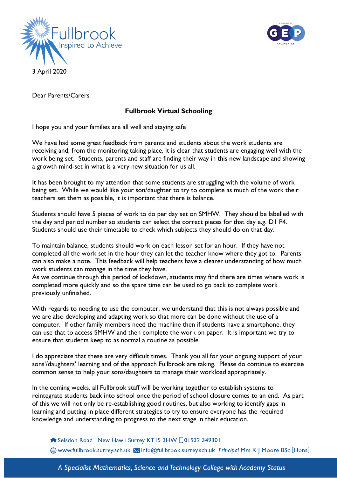



Dear Parents/Carers

## **Fullbrook Virtual Schooling**

I hope you and your families are all well and staying safe

We have had some great feedback from parents and students about the work students are receiving and, from the monitoring taking place, it is clear that students are engaging well with the work being set. Students, parents and staff are finding their way in this new landscape and showing a growth mind-set in what is a very new situation for us all.

It has been brought to my attention that some students are struggling with the volume of work being set. While we would like your son/daughter to try to complete as much of the work their teachers set them as possible, it is important that there is balance.

Students should have 5 pieces of work to do per day set on SMHW. They should be labelled with the day and period number so students can select the correct pieces for that day e.g. D1 P4. Students should use their timetable to check which subjects they should do on that day.

To maintain balance, students should work on each lesson set for an hour. If they have not completed all the work set in the hour they can let the teacher know where they got to. Parents can also make a note. This feedback will help teachers have a clearer understanding of how much work students can manage in the time they have.

As we continue through this period of lockdown, students may find there are times where work is completed more quickly and so the spare time can be used to go back to complete work previously unfinished.

With regards to needing to use the computer, we understand that this is not always possible and we are also developing and adapting work so that more can be done without the use of a computer. If other family members need the machine then if students have a smartphone, they can use that to access SMHW and then complete the work on paper. It is important we try to ensure that students keep to as normal a routine as possible.

I do appreciate that these are very difficult times. Thank you all for your ongoing support of your sons'/daughters' learning and of the approach Fullbrook are taking. Please do continue to exercise common sense to help your sons/daughters to manage their workload appropriately.

In the coming weeks, all Fullbrook staff will be working together to establish systems to reintegrate students back into school once the period of school closure comes to an end. As part of this we will not only be re-establishing good routines, but also working to identify gaps in learning and putting in place different strategies to try to ensure everyone has the required knowledge and understanding to progress to the next stage in their education.

Selsdon Road | New Haw | Surrey KT15 3HW 01932 349301 Www.fullbrook.surrey.sch.uk Minfo@fullbrook.surrey.sch.uk Principal Mrs K | Moore BSc [Hons]

A Specialist Mathematics, Science and Technology College with Academy Status